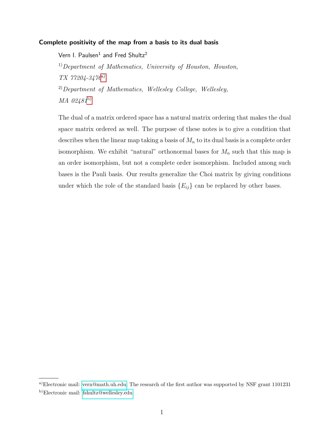# Complete positivity of the map from a basis to its dual basis

Vern I. Paulsen $^1$  and Fred Shultz $^2$  $1)$ Department of Mathematics, University of Houston, Houston, TX 77204-3476[a\)](#page-0-0)  $^{2)}$ Department of Mathematics, Wellesley College, Wellesley, MA 02481[b\)](#page-0-1)

The dual of a matrix ordered space has a natural matrix ordering that makes the dual space matrix ordered as well. The purpose of these notes is to give a condition that describes when the linear map taking a basis of  $M_n$  to its dual basis is a complete order isomorphism. We exhibit "natural" orthonormal bases for  $M_n$  such that this map is an order isomorphism, but not a complete order isomorphism. Included among such bases is the Pauli basis. Our results generalize the Choi matrix by giving conditions under which the role of the standard basis  ${E_{ij}}$  can be replaced by other bases.

<span id="page-0-1"></span><span id="page-0-0"></span>a)Electronic mail: [vern@math.uh.edu;](mailto:vern@math.uh.edu) The research of the first author was supported by NSF grant 1101231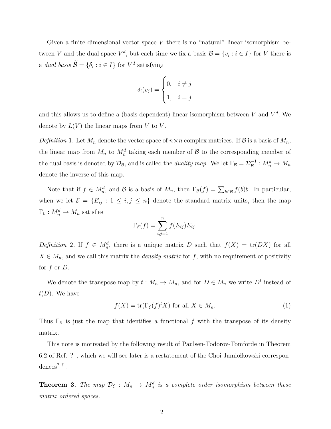Given a finite dimensional vector space  $V$  there is no "natural" linear isomorphism between V and the dual space  $V^d$ , but each time we fix a basis  $\mathcal{B} = \{v_i : i \in I\}$  for V there is a dual basis  $\mathcal{B} = \{\delta_i : i \in I\}$  for  $V^d$  satisfying

$$
\delta_i(v_j) = \begin{cases} 0, & i \neq j \\ 1, & i = j \end{cases}
$$

and this allows us to define a (basis dependent) linear isomorphism between  $V$  and  $V^d$ . We denote by  $L(V)$  the linear maps from V to V.

Definition 1. Let  $M_n$  denote the vector space of  $n \times n$  complex matrices. If  $\mathcal{B}$  is a basis of  $M_n$ , the linear map from  $M_n$  to  $M_n^d$  taking each member of  $\mathcal B$  to the corresponding member of the dual basis is denoted by  $\mathcal{D}_{\mathcal{B}}$ , and is called the *duality map*. We let  $\Gamma_{\mathcal{B}} = \mathcal{D}_{\mathcal{B}}^{-1}$  $g_B^{-1}: M_n^d \to M_n$ denote the inverse of this map.

Note that if  $f \in M_n^d$ , and  $\mathcal B$  is a basis of  $M_n$ , then  $\Gamma_{\mathcal B}(f) = \sum_{b \in \mathcal B} f(b)b$ . In particular, when we let  $\mathcal{E} = \{E_{ij} : 1 \le i, j \le n\}$  denote the standard matrix units, then the map  $\Gamma_{\mathcal{E}}: M_n^d \to M_n$  satisfies

$$
\Gamma_{\mathcal{E}}(f) = \sum_{i,j=1}^{n} f(E_{ij}) E_{ij}.
$$

Definition 2. If  $f \in M_n^d$ , there is a unique matrix D such that  $f(X) = \text{tr}(DX)$  for all  $X \in M_n$ , and we call this matrix the *density matrix* for f, with no requirement of positivity for  $f$  or  $D$ .

We denote the transpose map by  $t: M_n \to M_n$ , and for  $D \in M_n$  we write  $D<sup>t</sup>$  instead of  $t(D)$ . We have

$$
f(X) = \text{tr}(\Gamma_{\mathcal{E}}(f)^{t} X) \text{ for all } X \in M_n.
$$
 (1)

Thus  $\Gamma_{\mathcal{E}}$  is just the map that identifies a functional f with the transpose of its density matrix.

This note is motivated by the following result of Paulsen-Todorov-Tomforde in Theorem 6.2 of Ref.  $\hat{\mathbf{z}}$ , which we will see later is a restatement of the Choi-Jamiołkowski correspondences? ? .

**Theorem 3.** The map  $\mathcal{D}_{\mathcal{E}}$  :  $M_n \to M_n^d$  is a complete order isomorphism between these matrix ordered spaces.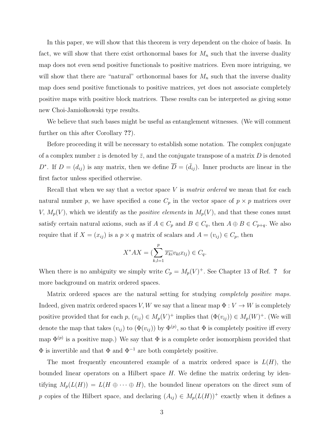In this paper, we will show that this theorem is very dependent on the choice of basis. In fact, we will show that there exist orthonormal bases for  $M_n$  such that the inverse duality map does not even send positive functionals to positive matrices. Even more intriguing, we will show that there are "natural" orthonormal bases for  $M_n$  such that the inverse duality map does send positive functionals to positive matrices, yet does not associate completely positive maps with positive block matrices. These results can be interpreted as giving some new Choi-Jamio kowski type results.

We believe that such bases might be useful as entanglement witnesses. (We will comment further on this after Corollary ??).

Before proceeding it will be necessary to establish some notation. The complex conjugate of a complex number z is denoted by  $\bar{z}$ , and the conjugate transpose of a matrix D is denoted D<sup>∗</sup>. If  $D = (d_{ij})$  is any matrix, then we define  $\overline{D} = (\overline{d}_{ij})$ . Inner products are linear in the first factor unless specified otherwise.

Recall that when we say that a vector space  $V$  is *matrix ordered* we mean that for each natural number p, we have specified a cone  $C_p$  in the vector space of  $p \times p$  matrices over V,  $M_p(V)$ , which we identify as the *positive elements* in  $M_p(V)$ , and that these cones must satisfy certain natural axioms, such as if  $A \in C_p$  and  $B \in C_q$ , then  $A \oplus B \in C_{p+q}$ . We also require that if  $X = (x_{ij})$  is a  $p \times q$  matrix of scalars and  $A = (v_{ij}) \in C_p$ , then

$$
X^*AX = \left(\sum_{k,l=1}^p \overline{x_{ki}} v_{kl} x_{lj}\right) \in C_q.
$$

When there is no ambiguity we simply write  $C_p = M_p(V)^+$ . See Chapter 13 of Ref. ? for more background on matrix ordered spaces.

Matrix ordered spaces are the natural setting for studying *completely positive maps*. Indeed, given matrix ordered spaces V, W we say that a linear map  $\Phi: V \to W$  is completely positive provided that for each  $p, (v_{ij}) \in M_p(V)^+$  implies that  $(\Phi(v_{ij})) \in M_p(W)^+$ . (We will denote the map that takes  $(v_{ij})$  to  $(\Phi(v_{ij}))$  by  $\Phi^{(p)}$ , so that  $\Phi$  is completely positive iff every map  $\Phi^{(p)}$  is a positive map.) We say that  $\Phi$  is a complete order isomorphism provided that  $\Phi$  is invertible and that  $\Phi$  and  $\Phi^{-1}$  are both completely positive.

The most frequently encountered example of a matrix ordered space is  $L(H)$ , the bounded linear operators on a Hilbert space  $H$ . We define the matrix ordering by identifying  $M_p(L(H)) = L(H \oplus \cdots \oplus H)$ , the bounded linear operators on the direct sum of p copies of the Hilbert space, and declaring  $(A_{ij}) \in M_p(L(H))^+$  exactly when it defines a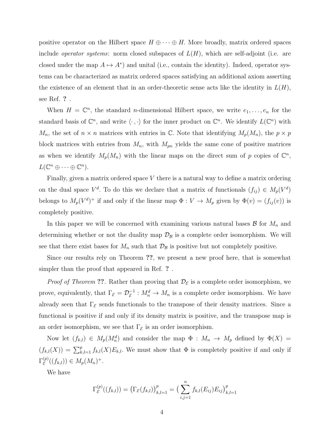positive operator on the Hilbert space  $H \oplus \cdots \oplus H$ . More broadly, matrix ordered spaces include *operator systems*: norm closed subspaces of  $L(H)$ , which are self-adjoint (i.e. are closed under the map  $A \mapsto A^*$  and unital (i.e., contain the identity). Indeed, operator systems can be characterized as matrix ordered spaces satisfying an additional axiom asserting the existence of an element that in an order-theoretic sense acts like the identity in  $L(H)$ , see Ref. ? .

When  $H = \mathbb{C}^n$ , the standard *n*-dimensional Hilbert space, we write  $e_1, \ldots, e_n$  for the standard basis of  $\mathbb{C}^n$ , and write  $\langle \cdot, \cdot \rangle$  for the inner product on  $\mathbb{C}^n$ . We identify  $L(\mathbb{C}^n)$  with  $M_n$ , the set of  $n \times n$  matrices with entries in  $\mathbb C$ . Note that identifying  $M_p(M_n)$ , the  $p \times p$ block matrices with entries from  $M_n$ , with  $M_{pn}$  yields the same cone of positive matrices as when we identify  $M_p(M_n)$  with the linear maps on the direct sum of p copies of  $\mathbb{C}^n$ ,  $L(\mathbb{C}^n \oplus \cdots \oplus \mathbb{C}^n).$ 

Finally, given a matrix ordered space  $V$  there is a natural way to define a matrix ordering on the dual space  $V^d$ . To do this we declare that a matrix of functionals  $(f_{ij}) \in M_p(V^d)$ belongs to  $M_p(V^d)^+$  if and only if the linear map  $\Phi: V \to M_p$  given by  $\Phi(v) = (f_{ij}(v))$  is completely positive.

In this paper we will be concerned with examining various natural bases  $\mathcal{B}$  for  $M_n$  and determining whether or not the duality map  $\mathcal{D}_{\mathcal{B}}$  is a complete order isomorphism. We will see that there exist bases for  $M_n$  such that  $\mathcal{D}_\mathcal{B}$  is positive but not completely positive.

Since our results rely on Theorem ??, we present a new proof here, that is somewhat simpler than the proof that appeared in Ref. ? .

*Proof of Theorem* ??. Rather than proving that  $\mathcal{D}_{\varepsilon}$  is a complete order isomorphism, we prove, equivalently, that  $\Gamma_{\mathcal{E}} = \mathcal{D}_{\mathcal{E}}^{-1}$  $\mathcal{E}^{-1}: M_n^d \to M_n$  is a complete order isomorphism. We have already seen that  $\Gamma_{\mathcal{E}}$  sends functionals to the transpose of their density matrices. Since a functional is positive if and only if its density matrix is positive, and the transpose map is an order isomorphism, we see that  $\Gamma_{\mathcal{E}}$  is an order isomorphism.

Now let  $(f_{k,l}) \in M_p(M_n^d)$  and consider the map  $\Phi: M_n \to M_p$  defined by  $\Phi(X) =$  $(f_{k,l}(X)) = \sum_{k,l=1}^p f_{k,l}(X) E_{k,l}$ . We must show that  $\Phi$  is completely positive if and only if  $\Gamma_{\cal E}^{(p)}$  $E^{(p)}(f_{k,l})) \in M_p(M_n)^+$ .

We have

$$
\Gamma_{\mathcal{E}}^{(p)}((f_{k,l})) = \left(\Gamma_{\mathcal{E}}(f_{k,l})\right)_{k,l=1}^p = \left(\sum_{i,j=1}^n f_{k,l}(E_{ij})E_{ij}\right)_{k,l=1}^p
$$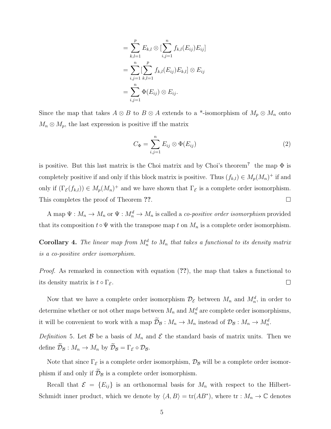$$
= \sum_{k,l=1}^{p} E_{k,l} \otimes \left[ \sum_{i,j=1}^{n} f_{k,l}(E_{ij}) E_{ij} \right]
$$
  

$$
= \sum_{i,j=1}^{n} \left[ \sum_{k,l=1}^{p} f_{k,l}(E_{ij}) E_{k,l} \right] \otimes E_{ij}
$$
  

$$
= \sum_{i,j=1}^{n} \Phi(E_{ij}) \otimes E_{ij}.
$$

Since the map that takes  $A \otimes B$  to  $B \otimes A$  extends to a \*-isomorphism of  $M_p \otimes M_n$  onto  $M_n \otimes M_p$ , the last expression is positive iff the matrix

$$
C_{\Phi} = \sum_{i,j=1}^{n} E_{ij} \otimes \Phi(E_{ij})
$$
\n(2)

is positive. But this last matrix is the Choi matrix and by Choi's theorem<sup>?</sup> the map  $\Phi$  is completely positive if and only if this block matrix is positive. Thus  $(f_{k,l}) \in M_p(M_n)^+$  if and only if  $(\Gamma_{\mathcal{E}}(f_{k,l})) \in M_p(M_n)^+$  and we have shown that  $\Gamma_{\mathcal{E}}$  is a complete order isomorphism. This completes the proof of Theorem ??.  $\Box$ 

A map  $\Psi: M_n \to M_n$  or  $\Psi: M_n^d \to M_n$  is called a *co-positive order isomorphism* provided that its composition  $t \circ \Psi$  with the transpose map t on  $M_n$  is a complete order isomorphism.

**Corollary 4.** The linear map from  $M_n^d$  to  $M_n$  that takes a functional to its density matrix is a co-positive order isomorphism.

Proof. As remarked in connection with equation (??), the map that takes a functional to its density matrix is  $t \circ \Gamma_{\mathcal{E}}$ .  $\Box$ 

Now that we have a complete order isomorphism  $\mathcal{D}_{\mathcal{E}}$  between  $M_n$  and  $M_n^d$ , in order to determine whether or not other maps between  $M_n$  and  $M_n^d$  are complete order isomorphisms, it will be convenient to work with a map  $\mathcal{D}_B : M_n \to M_n$  instead of  $\mathcal{D}_B : M_n \to M_n^d$ .

Definition 5. Let B be a basis of  $M_n$  and E the standard basis of matrix units. Then we define  $\widetilde{\mathcal{D}}_{\mathcal{B}} : M_n \to M_n$  by  $\widetilde{\mathcal{D}}_{\mathcal{B}} = \Gamma_{\mathcal{E}} \circ \mathcal{D}_{\mathcal{B}}$ .

Note that since  $\Gamma_{\mathcal{E}}$  is a complete order isomorphism,  $\mathcal{D}_{\mathcal{B}}$  will be a complete order isomorphism if and only if  $\widetilde{\mathcal{D}}_{\mathcal{B}}$  is a complete order isomorphism.

Recall that  $\mathcal{E} = \{E_{ij}\}\$ is an orthonormal basis for  $M_n$  with respect to the Hilbert-Schmidt inner product, which we denote by  $\langle A, B \rangle = \text{tr}(AB^*)$ , where  $\text{tr} : M_n \to \mathbb{C}$  denotes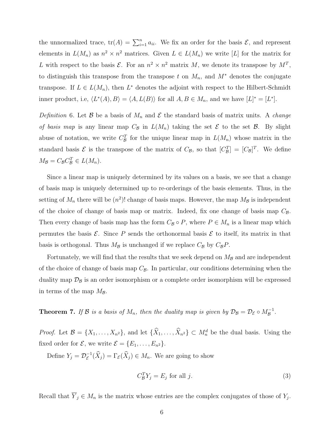the unnormalized trace,  $tr(A) = \sum_{i=1}^{n} a_{ii}$ . We fix an order for the basis  $\mathcal{E}$ , and represent elements in  $L(M_n)$  as  $n^2 \times n^2$  matrices. Given  $L \in L(M_n)$  we write [L] for the matrix for L with respect to the basis  $\mathcal{E}$ . For an  $n^2 \times n^2$  matrix M, we denote its transpose by  $M^T$ , to distinguish this transpose from the transpose t on  $M_n$ , and  $M^*$  denotes the conjugate transpose. If  $L \in L(M_n)$ , then  $L^*$  denotes the adjoint with respect to the Hilbert-Schmidt inner product, i.e,  $\langle L^*(A), B \rangle = \langle A, L(B) \rangle$  for all  $A, B \in M_n$ , and we have  $[L]^* = [L^*].$ 

Definition 6. Let B be a basis of  $M_n$  and E the standard basis of matrix units. A *change* of basis map is any linear map  $C_{\mathcal{B}}$  in  $L(M_n)$  taking the set  $\mathcal E$  to the set  $\mathcal B$ . By slight abuse of notation, we write  $C_{\mathcal{B}}^{T}$  for the unique linear map in  $L(M_n)$  whose matrix in the standard basis  $\mathcal{E}$  is the transpose of the matrix of  $C_{\mathcal{B}}$ , so that  $[C_{\mathcal{B}}^T] = [C_{\mathcal{B}}]^T$ . We define  $M_{\mathcal{B}} = C_{\mathcal{B}} C_{\mathcal{B}}^T \in L(M_n).$ 

Since a linear map is uniquely determined by its values on a basis, we see that a change of basis map is uniquely determined up to re-orderings of the basis elements. Thus, in the setting of  $M_n$  there will be  $(n^2)!$  change of basis maps. However, the map  $M_B$  is independent of the choice of change of basis map or matrix. Indeed, fix one change of basis map  $C_{\mathcal{B}}$ . Then every change of basis map has the form  $C_B \circ P$ , where  $P \in M_n$  is a linear map which permutes the basis  $\mathcal{E}$ . Since P sends the orthonormal basis  $\mathcal{E}$  to itself, its matrix in that basis is orthogonal. Thus  $M_{\mathcal{B}}$  is unchanged if we replace  $C_{\mathcal{B}}$  by  $C_{\mathcal{B}}P$ .

Fortunately, we will find that the results that we seek depend on  $M_{\mathcal{B}}$  and are independent of the choice of change of basis map  $C_{\mathcal{B}}$ . In particular, our conditions determining when the duality map  $\mathcal{D}_\beta$  is an order isomorphism or a complete order isomorphism will be expressed in terms of the map  $M_{\mathcal{B}}$ .

**Theorem 7.** If B is a basis of  $M_n$ , then the duality map is given by  $\mathcal{D}_B = \mathcal{D}_{\mathcal{E}} \circ M_B^{-1}$ .

*Proof.* Let  $\mathcal{B} = \{X_1, \ldots, X_{n^2}\}$ , and let  $\{\hat{X}_1, \ldots, \hat{X}_{n^2}\} \subset M_n^d$  be the dual basis. Using the fixed order for  $\mathcal{E}$ , we write  $\mathcal{E} = \{E_1, \ldots, E_{n^2}\}.$ 

Define  $Y_j = \mathcal{D}_{\mathcal{E}}^{-1}$  $\mathcal{F}_{\varepsilon}^{-1}(X_j) = \Gamma_{\varepsilon}(X_j) \in M_n$ . We are going to show

$$
C_{\mathcal{B}}^T Y_j = E_j \text{ for all } j. \tag{3}
$$

Recall that  $\overline{Y}_j \in M_n$  is the matrix whose entries are the complex conjugates of those of  $Y_j$ .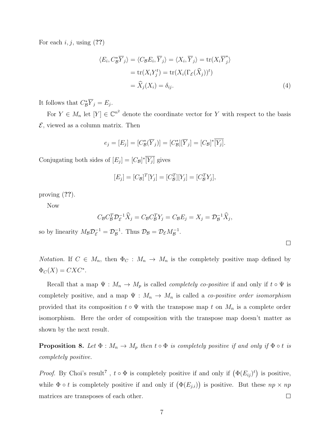For each  $i, j$ , using  $(??)$ 

$$
\langle E_i, C_{\mathcal{B}}^* \overline{Y}_j \rangle = \langle C_{\mathcal{B}} E_i, \overline{Y}_j \rangle = \langle X_i, \overline{Y}_j \rangle = \text{tr}(X_i \overline{Y}_j^*)
$$
  
= tr(X<sub>i</sub>Y<sub>j</sub><sup>t</sup>) = tr(X<sub>i</sub>(\Gamma\_{\mathcal{E}}(\widehat{X}\_j))^t)  
=  $\widehat{X}_j(X_i) = \delta_{ij}.$  (4)

It follows that  $C^*_{\mathcal{B}}\overline{Y}_j = E_j$ .

For  $Y \in M_n$  let  $[Y] \in \mathbb{C}^{n^2}$  denote the coordinate vector for Y with respect to the basis  $\mathcal{E}$ , viewed as a column matrix. Then

$$
e_j = [E_j] = [C^*_\mathcal{B}(\overline{Y}_j)] = [C^*_\mathcal{B}][\overline{Y}_j] = [C_\mathcal{B}]^* \overline{[Y_j]}.
$$

Conjugating both sides of  $[E_j] = [C_{\mathcal{B}}]^* \overline{[Y_j]}$  gives

$$
[E_j] = [C_{\mathcal{B}}]^T[Y_j] = [C_{\mathcal{B}}^T][Y_j] = [C_{\mathcal{B}}^T Y_j],
$$

proving (??).

Now

$$
C_{\mathcal{B}} C_{\mathcal{B}}^T \mathcal{D}_{\mathcal{E}}^{-1} \widehat{X}_j = C_{\mathcal{B}} C_{\mathcal{B}}^T Y_j = C_{\mathcal{B}} E_j = X_j = \mathcal{D}_{\mathcal{B}}^{-1} \widehat{X}_j,
$$

 $\Box$ 

so by linearity  $M_{\mathcal{B}} \mathcal{D}_{\mathcal{E}}^{-1} = \mathcal{D}_{\mathcal{B}}^{-1}$  $_{\mathcal{B}}^{-1}$ . Thus  $\mathcal{D}_{\mathcal{B}} = \mathcal{D}_{\mathcal{E}} M_{\mathcal{B}}^{-1}$ .

Notation. If  $C \in M_n$ , then  $\Phi_C : M_n \to M_n$  is the completely positive map defined by  $\Phi_C(X) = CXC^*.$ 

Recall that a map  $\Psi : M_n \to M_p$  is called *completely co-positive* if and only if  $t \circ \Psi$  is completely positive, and a map  $\Psi : M_n \to M_n$  is called a *co-positive order isomorphism* provided that its composition  $t \circ \Psi$  with the transpose map t on  $M_n$  is a complete order isomorphism. Here the order of composition with the transpose map doesn't matter as shown by the next result.

**Proposition 8.** Let  $\Phi : M_n \to M_p$  then  $t \circ \Phi$  is completely positive if and only if  $\Phi \circ t$  is completely positive.

*Proof.* By Choi's result<sup>?</sup>,  $t \circ \Phi$  is completely positive if and only if  $(\Phi(E_{ij})^t)$  is positive, while  $\Phi \circ t$  is completely positive if and only if  $(\Phi(E_{j,i}))$  is positive. But these  $np \times np$ matrices are transposes of each other.  $\Box$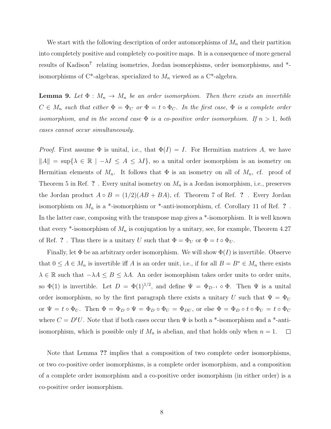We start with the following description of order automorphisms of  $M_n$  and their partition into completely positive and completely co-positive maps. It is a consequence of more general results of Kadison<sup>?</sup> relating isometries, Jordan isomorphisms, order isomorphisms, and \*isomorphisms of C\*-algebras, specialized to  $M_n$  viewed as a C\*-algebra.

**Lemma 9.** Let  $\Phi : M_n \to M_n$  be an order isomorphism. Then there exists an invertible  $C \in M_n$  such that either  $\Phi = \Phi_C$  or  $\Phi = t \circ \Phi_C$ . In the first case,  $\Phi$  is a complete order isomorphism, and in the second case  $\Phi$  is a co-positive order isomorphism. If  $n > 1$ , both cases cannot occur simultaneously.

*Proof.* First assume  $\Phi$  is unital, i.e., that  $\Phi(I) = I$ . For Hermitian matrices A, we have  $||A|| = \sup\{\lambda \in \mathbb{R} \mid -\lambda I \leq A \leq \lambda I\}$ , so a unital order isomorphism is an isometry on Hermitian elements of  $M_n$ . It follows that  $\Phi$  is an isometry on all of  $M_n$ , cf. proof of Theorem 5 in Ref. ? . Every unital isometry on  $M_n$  is a Jordan isomorphism, i.e., preserves the Jordan product  $A \circ B = (1/2)(AB + BA)$ , cf. Theorem 7 of Ref. ? . Every Jordan isomorphism on  $M_n$  is a \*-isomorphism or \*-anti-isomorphism, cf. Corollary 11 of Ref. ?. In the latter case, composing with the transpose map gives a \*-isomorphism. It is well known that every  $*$ -isomorphism of  $M_n$  is conjugation by a unitary, see, for example, Theorem 4.27 of Ref. ? . Thus there is a unitary U such that  $\Phi = \Phi_U$  or  $\Phi = t \circ \Phi_U$ .

Finally, let  $\Phi$  be an arbitrary order isomorphism. We will show  $\Phi(I)$  is invertible. Observe that  $0 \le A \in M_n$  is invertible iff A is an order unit, i.e., if for all  $B = B^* \in M_n$  there exists  $\lambda \in \mathbb{R}$  such that  $-\lambda A \leq B \leq \lambda A$ . An order isomorphism takes order units to order units, so  $\Phi(1)$  is invertible. Let  $D = \Phi(1)^{1/2}$ , and define  $\Psi = \Phi_{D^{-1}} \circ \Phi$ . Then  $\Psi$  is a unital order isomorphism, so by the first paragraph there exists a unitary U such that  $\Psi = \Phi_U$ or  $\Psi = t \circ \Phi_U$ . Then  $\Phi = \Phi_D \circ \Psi = \Phi_D \circ \Phi_U = \Phi_{DU}$ , or else  $\Phi = \Phi_D \circ t \circ \Phi_U = t \circ \Phi_C$ where  $C = D<sup>t</sup>U$ . Note that if both cases occur then  $\Psi$  is both a \*-isomorphism and a \*-antiisomorphism, which is possible only if  $M_n$  is abelian, and that holds only when  $n = 1$ .  $\Box$ 

Note that Lemma ?? implies that a composition of two complete order isomorphisms, or two co-positive order isomorphisms, is a complete order isomorphism, and a composition of a complete order isomorphism and a co-positive order isomorphism (in either order) is a co-positive order isomorphism.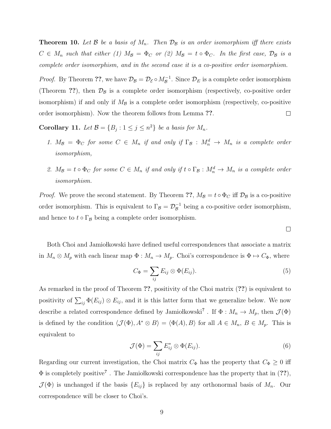**Theorem 10.** Let  $\beta$  be a basis of  $M_n$ . Then  $\mathcal{D}_{\beta}$  is an order isomorphism iff there exists  $C \in M_n$  such that either (1)  $M_{\mathcal{B}} = \Phi_C$  or (2)  $M_{\mathcal{B}} = t \circ \Phi_C$ . In the first case,  $\mathcal{D}_{\mathcal{B}}$  is a complete order isomorphism, and in the second case it is a co-positive order isomorphism.

*Proof.* By Theorem ??, we have  $\mathcal{D}_{\mathcal{B}} = \mathcal{D}_{\mathcal{E}} \circ M_{\mathcal{B}}^{-1}$ . Since  $\mathcal{D}_{E}$  is a complete order isomorphism (Theorem ??), then  $\mathcal{D}_\beta$  is a complete order isomorphism (respectively, co-positive order isomorphism) if and only if  $M_B$  is a complete order isomorphism (respectively, co-positive order isomorphism). Now the theorem follows from Lemma ??.  $\Box$ 

**Corollary 11.** Let  $\mathcal{B} = \{B_j : 1 \le j \le n^2\}$  be a basis for  $M_n$ .

- 1.  $M_{\mathcal{B}} = \Phi_C$  for some  $C \in M_n$  if and only if  $\Gamma_{\mathcal{B}} : M_n^d \to M_n$  is a complete order isomorphism,
- 2.  $M_{\mathcal{B}} = t \circ \Phi_C$  for some  $C \in M_n$  if and only if  $t \circ \Gamma_{\mathcal{B}} : M_n^d \to M_n$  is a complete order isomorphism.

*Proof.* We prove the second statement. By Theorem ??,  $M_{\mathcal{B}} = t \circ \Phi_C$  iff  $\mathcal{D}_{\mathcal{B}}$  is a co-positive order isomorphism. This is equivalent to  $\Gamma_{\mathcal{B}} = \mathcal{D}_{\mathcal{B}}^{-1}$  being a co-positive order isomorphism, and hence to  $t \circ \Gamma_B$  being a complete order isomorphism.

Both Choi and Jamio kowski have defined useful correspondences that associate a matrix in  $M_n \otimes M_p$  with each linear map  $\Phi : M_n \to M_p$ . Choi's correspondence is  $\Phi \mapsto C_{\Phi}$ , where

$$
C_{\Phi} = \sum_{ij} E_{ij} \otimes \Phi(E_{ij}). \tag{5}
$$

 $\Box$ 

As remarked in the proof of Theorem ??, positivity of the Choi matrix (??) is equivalent to positivity of  $\sum_{ij} \Phi(E_{ij}) \otimes E_{ij}$ , and it is this latter form that we generalize below. We now describe a related correspondence defined by Jamiołkowski<sup>?</sup>. If  $\Phi: M_n \to M_p$ , then  $\mathcal{J}(\Phi)$ is defined by the condition  $\langle \mathcal{J}(\Phi), A^* \otimes B \rangle = \langle \Phi(A), B \rangle$  for all  $A \in M_n$ ,  $B \in M_p$ . This is equivalent to

$$
\mathcal{J}(\Phi) = \sum_{ij} E_{ij}^* \otimes \Phi(E_{ij}). \tag{6}
$$

Regarding our current investigation, the Choi matrix  $C_{\Phi}$  has the property that  $C_{\Phi} \geq 0$  iff  $\Phi$  is completely positive?. The Jamiołkowski correspondence has the property that in (??),  $\mathcal{J}(\Phi)$  is unchanged if the basis  $\{E_{ij}\}\$ is replaced by any orthonormal basis of  $M_n$ . Our correspondence will be closer to Choi's.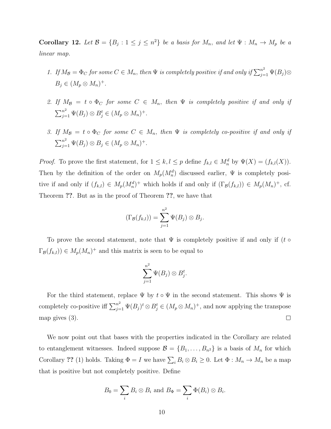**Corollary 12.** Let  $\mathcal{B} = \{B_j : 1 \le j \le n^2\}$  be a basis for  $M_n$ , and let  $\Psi : M_n \to M_p$  be a linear map.

- 1. If  $M_{\mathcal{B}} = \Phi_C$  for some  $C \in M_n$ , then  $\Psi$  is completely positive if and only if  $\sum_{j=1}^{n^2} \Psi(B_j) \otimes$  $B_j \in (M_p \otimes M_n)^+$ .
- 2. If  $M_{\mathcal{B}} = t \circ \Phi_C$  for some  $C \in M_n$ , then  $\Psi$  is completely positive if and only if  $\sum_{j=1}^{n^2} \Psi(B_j) \otimes B_j^t \in (M_p \otimes M_n)^+$ .
- 3. If  $M_{\mathcal{B}} = t \circ \Phi_C$  for some  $C \in M_n$ , then  $\Psi$  is completely co-positive if and only if  $\sum_{j=1}^{n^2} \Psi(B_j) \otimes B_j \in (M_p \otimes M_n)^+$ .

*Proof.* To prove the first statement, for  $1 \leq k, l \leq p$  define  $f_{k,l} \in M_n^d$  by  $\Psi(X) = (f_{k,l}(X))$ . Then by the definition of the order on  $M_p(M_n^d)$  discussed earlier,  $\Psi$  is completely positive if and only if  $(f_{k,l}) \in M_p(M_n^d)^+$  which holds if and only if  $(\Gamma_\mathcal{B}(f_{k,l})) \in M_p(M_n)^+$ , cf. Theorem ??. But as in the proof of Theorem ??, we have that

$$
(\Gamma_{\mathcal{B}}(f_{k,l})) = \sum_{j=1}^{n^2} \Psi(B_j) \otimes B_j.
$$

To prove the second statement, note that  $\Psi$  is completely positive if and only if (t  $\circ$  $\Gamma_{\mathcal{B}}(f_{k,l})\in M_p(M_n)^+$  and this matrix is seen to be equal to

$$
\sum_{j=1}^{n^2} \Psi(B_j) \otimes B_j^t.
$$

For the third statement, replace  $\Psi$  by  $t \circ \Psi$  in the second statement. This shows  $\Psi$  is completely co-positive iff  $\sum_{j=1}^{n^2} \Psi(B_j)^t \otimes B_j^t \in (M_p \otimes M_n)^+$ , and now applying the transpose  $\Box$ map gives (3).

We now point out that bases with the properties indicated in the Corollary are related to entanglement witnesses. Indeed suppose  $\mathcal{B} = \{B_1, \ldots, B_{n^2}\}\$ is a basis of  $M_n$  for which Corollary ?? (1) holds. Taking  $\Phi = I$  we have  $\sum_i B_i \otimes B_i \ge 0$ . Let  $\Phi : M_n \to M_n$  be a map that is positive but not completely positive. Define

$$
B_0 = \sum_i B_i \otimes B_i \text{ and } B_{\Phi} = \sum_i \Phi(B_i) \otimes B_i.
$$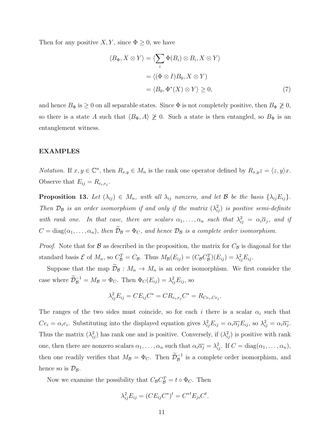Then for any positive  $X, Y$ , since  $\Phi \geq 0$ , we have

$$
\langle B_{\Phi}, X \otimes Y \rangle = \langle \sum_{i} \Phi(B_{i}) \otimes B_{i}, X \otimes Y \rangle
$$
  
=  $\langle (\Phi \otimes I)B_{0}, X \otimes Y \rangle$   
=  $\langle B_{0}, \Phi^{*}(X) \otimes Y \rangle \ge 0,$  (7)

and hence  $B_{\Phi}$  is  $\geq 0$  on all separable states. Since  $\Phi$  is not completely positive, then  $B_{\Phi} \not\geq 0$ , so there is a state A such that  $\langle B_\Phi, A \rangle \not\geq 0$ . Such a state is then entangled, so  $B_\Phi$  is an entanglement witness.

### EXAMPLES

*Notation.* If  $x, y \in \mathbb{C}^n$ , then  $R_{x,y} \in M_n$  is the rank one operator defined by  $R_{x,y}z = \langle z, y \rangle x$ . Observe that  $E_{ij} = R_{e_i, e_j}$ .

**Proposition 13.** Let  $(\lambda_{ij}) \in M_n$ , with all  $\lambda_{ij}$  nonzero, and let  $\mathcal{B}$  be the basis  $\{\lambda_{ij}E_{ij}\}.$ Then  $\mathcal{D}_\mathcal{B}$  is an order isomorphism if and only if the matrix  $(\lambda_{ij}^2)$  is positive semi-definite with rank one. In that case, there are scalars  $\alpha_1, \ldots, \alpha_n$  such that  $\lambda_{ij}^2 = \alpha_i \overline{\alpha}_j$ , and if  $C = \text{diag}(\alpha_1, \ldots, \alpha_n)$ , then  $\widetilde{\mathcal{D}}_{\mathcal{B}} = \Phi_C$ , and hence  $\mathcal{D}_{\mathcal{B}}$  is a complete order isomorphism.

*Proof.* Note that for  $\beta$  as described in the proposition, the matrix for  $C_{\beta}$  is diagonal for the standard basis  $\mathcal{E}$  of  $M_n$ , so  $C_{\mathcal{B}}^T = C_{\mathcal{B}}$ . Thus  $M_{\mathcal{B}}(E_{ij}) = (C_{\mathcal{B}}C_{\mathcal{B}}^T)(E_{ij}) = \lambda_{ij}^2 E_{ij}$ .

Suppose that the map  $\widetilde{\mathcal{D}}_{\mathcal{B}} : M_n \to M_n$  is an order isomorphism. We first consider the case where  $\widetilde{\mathcal{D}}_{\mathcal{B}}^{-1} = M_{\mathcal{B}} = \Phi_C$ . Then  $\Phi_C(E_{ij}) = \lambda_{ij}^2 E_{ij}$ , so

$$
\lambda_{ij}^2 E_{ij} = C E_{ij} C^* = C R_{e_i, e_j} C^* = R_{Ce_i, Ce_j}.
$$

The ranges of the two sides must coincide, so for each i there is a scalar  $\alpha_i$  such that  $Ce_i = \alpha_i e_i$ . Substituting into the displayed equation gives  $\lambda_{ij}^2 E_{ij} = \alpha_i \overline{\alpha_j} E_{ij}$ , so  $\lambda_{ij}^2 = \alpha_i \overline{\alpha_j}$ . Thus the matrix  $(\lambda_{ij}^2)$  has rank one and is positive. Conversely, if  $(\lambda_{ij}^2)$  is positive with rank one, then there are nonzero scalars  $\alpha_1, \ldots, \alpha_n$  such that  $\alpha_i \overline{\alpha_j} = \lambda_{ij}^2$ . If  $C = \text{diag}(\alpha_1, \ldots, \alpha_n)$ , then one readily verifies that  $M_{\mathcal{B}} = \Phi_C$ . Then  $\widetilde{\mathcal{D}}_{\mathcal{B}}^{-1}$  is a complete order isomorphism, and hence so is  $\mathcal{D}_{\mathcal{B}}$ .

Now we examine the possibility that  $C_{\mathcal{B}} C_{\mathcal{B}}^T = t \circ \Phi_C$ . Then

$$
\lambda_{ij}^2 E_{ij} = (CE_{ij} C^*)^t = C^{*t} E_{ji} C^t.
$$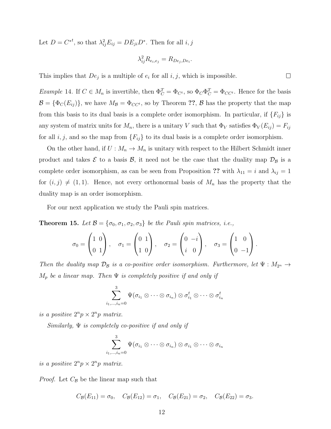Let  $D = C^{*t}$ , so that  $\lambda_{ij}^2 E_{ij} = DE_{ji}D^*$ . Then for all  $i, j$ 

$$
\lambda_{ij}^2 R_{e_i, e_j} = R_{De_j, De_i}.
$$

 $\Box$ 

This implies that  $De_j$  is a multiple of  $e_i$  for all  $i, j$ , which is impossible.

*Example* 14. If  $C \in M_n$  is invertible, then  $\Phi_C^T = \Phi_{C^t}$ , so  $\Phi_C \Phi_C^T = \Phi_{CC^t}$ . Hence for the basis  $\mathcal{B} = {\Phi_C(E_{ij})}$ , we have  $M_{\mathcal{B}} = {\Phi_{CC^t}}$ , so by Theorem ??,  $\mathcal{B}$  has the property that the map from this basis to its dual basis is a complete order isomorphism. In particular, if  ${F_{ij}}$  is any system of matrix units for  $M_n$ , there is a unitary V such that  $\Phi_V$  satisfies  $\Phi_V(E_{ij}) = F_{ij}$ for all  $i, j$ , and so the map from  ${F_{ij}}$  to its dual basis is a complete order isomorphism.

On the other hand, if  $U: M_n \to M_n$  is unitary with respect to the Hilbert Schmidt inner product and takes  $\mathcal E$  to a basis  $\mathcal B$ , it need not be the case that the duality map  $\mathcal D_{\mathcal B}$  is a complete order isomorphism, as can be seen from Proposition ?? with  $\lambda_{11} = i$  and  $\lambda_{ij} = 1$ for  $(i, j) \neq (1, 1)$ . Hence, not every orthonormal basis of  $M_n$  has the property that the duality map is an order isomorphism.

For our next application we study the Pauli spin matrices.

**Theorem 15.** Let  $\mathcal{B} = {\sigma_0, \sigma_1, \sigma_2, \sigma_3}$  be the Pauli spin matrices, i.e.,

$$
\sigma_0 = \begin{pmatrix} 1 & 0 \\ 0 & 1 \end{pmatrix}, \quad \sigma_1 = \begin{pmatrix} 0 & 1 \\ 1 & 0 \end{pmatrix}, \quad \sigma_2 = \begin{pmatrix} 0 & -i \\ i & 0 \end{pmatrix}, \quad \sigma_3 = \begin{pmatrix} 1 & 0 \\ 0 & -1 \end{pmatrix}.
$$

Then the duality map  $\mathcal{D}_\mathcal{B}$  is a co-positive order isomorphism. Furthermore, let  $\Psi : M_{2^n} \to$  $M_p$  be a linear map. Then  $\Psi$  is completely positive if and only if

$$
\sum_{i_1,...,i_n=0}^3\Psi(\sigma_{i_1}\otimes\cdots\otimes\sigma_{i_n})\otimes\sigma_{i_1}^t\otimes\cdots\otimes\sigma_{i_n}^t
$$

is a positive  $2^n p \times 2^n p$  matrix.

Similarly,  $\Psi$  is completely co-positive if and only if

$$
\sum_{i_1,...,i_n=0}^3\Psi(\sigma_{i_1}\otimes\cdots\otimes\sigma_{i_n})\otimes\sigma_{i_1}\otimes\cdots\otimes\sigma_{i_n}
$$

is a positive  $2^n p \times 2^n p$  matrix.

*Proof.* Let  $C_{\mathcal{B}}$  be the linear map such that

$$
C_{\mathcal{B}}(E_{11}) = \sigma_0
$$
,  $C_{\mathcal{B}}(E_{12}) = \sigma_1$ ,  $C_{\mathcal{B}}(E_{21}) = \sigma_2$ ,  $C_{\mathcal{B}}(E_{22}) = \sigma_3$ .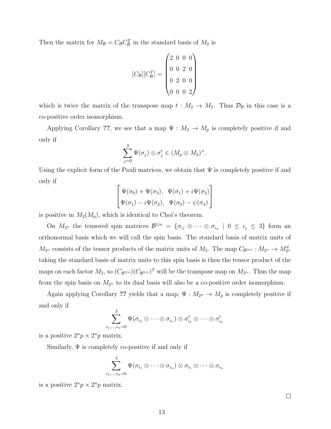Then the matrix for  $M_{\mathcal{B}} = C_{\mathcal{B}} C_{\mathcal{B}}^T$  in the standard basis of  $M_2$  is

$$
[C_{\mathcal{B}}][C_{\mathcal{B}}^T] = \begin{pmatrix} 2 & 0 & 0 & 0 \\ 0 & 0 & 2 & 0 \\ 0 & 2 & 0 & 0 \\ 0 & 0 & 0 & 2 \end{pmatrix}
$$

which is twice the matrix of the transpose map  $t : M_2 \to M_2$ . Thus  $\mathcal{D}_{\mathcal{B}}$  in this case is a co-positive order isomorphism.

Applying Corollary ??, we see that a map  $\Psi : M_2 \to M_p$  is completely positive if and only if

$$
\sum_{j=0}^3 \Psi(\sigma_j) \otimes \sigma_j^t \in (M_p \otimes M_2)^+.
$$

Using the explicit form of the Pauli matrices, we obtain that  $\Psi$  is completely positive if and only if

$$
\begin{bmatrix}\n\Psi(\sigma_0) + \Psi(\sigma_3), & \Psi(\sigma_1) + i\Psi(\sigma_2) \\
\Psi(\sigma_1) - i\Psi(\sigma_2), & \Psi(\sigma_0) - \psi(\sigma_3)\n\end{bmatrix}
$$

is positive in  $M_2(M_p)$ , which is identical to Choi's theorem.

On  $M_{2^n}$  the tensored spin matrices  $\mathcal{B}^{\otimes n} = \{\sigma_{i_1} \otimes \cdots \otimes \sigma_{i_n} \mid 0 \leq i_j \leq 3\}$  form an orthonormal basis which we will call the spin basis. The standard basis of matrix units of  $M_{2^n}$  consists of the tensor products of the matrix units of  $M_2$ . The map  $C_{\mathcal{B}^{\otimes n}} : M_{2^n} \to M_{2^n}^d$ taking the standard basis of matrix units to this spin basis is then the tensor product of the maps on each factor  $M_2$ , so  $(C_{\mathcal{B}^{\otimes n}})(C_{\mathcal{B}^{\otimes n}})^T$  will be the transpose map on  $M_{2^n}$ . Thus the map from the spin basis on  $M_{2^n}$  to its dual basis will also be a co-positive order isomorphism.

Again applying Corollary ?? yields that a map,  $\Psi : M_{2^n} \to M_p$  is completely positive if and only if

$$
\sum_{i_1,...,i_n=0}^3\Psi(\sigma_{i_1}\otimes\cdots\otimes\sigma_{i_n})\otimes\sigma_{i_1}^t\otimes\cdots\otimes\sigma_{i_n}^t
$$

is a positive  $2^n p \times 2^n p$  matrix.

Similarly,  $\Psi$  is completely co-positive if and only if

$$
\sum_{i_1,...,i_n=0}^3\Psi(\sigma_{i_1}\otimes\cdots\otimes\sigma_{i_n})\otimes\sigma_{i_1}\otimes\cdots\otimes\sigma_{i_n}
$$

is a positive  $2^n p \times 2^n p$  matrix.

 $\Box$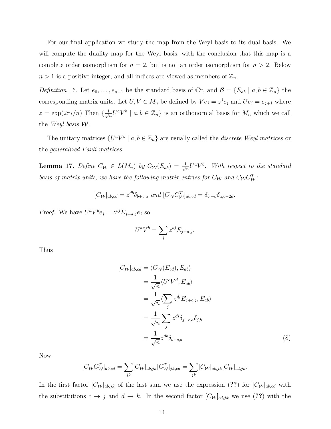For our final application we study the map from the Weyl basis to its dual basis. We will compute the duality map for the Weyl basis, with the conclusion that this map is a complete order isomorphism for  $n = 2$ , but is not an order isomorphism for  $n > 2$ . Below  $n > 1$  is a positive integer, and all indices are viewed as members of  $\mathbb{Z}_n$ .

Definition 16. Let  $e_0, \ldots, e_{n-1}$  be the standard basis of  $\mathbb{C}^n$ , and  $\mathcal{B} = \{E_{ab} \mid a, b \in \mathbb{Z}_n\}$  the corresponding matrix units. Let  $U, V \in M_n$  be defined by  $Ve_j = z^j e_j$  and  $Ue_j = e_{j+1}$  where  $z = \exp(2\pi i/n)$  Then  $\{\frac{1}{\sqrt{n}}\}$  $\frac{1}{n}U^aV^b \mid a, b \in \mathbb{Z}_n$  is an orthonormal basis for  $M_n$  which we call the Weyl basis W.

The unitary matrices  $\{U^a V^b \mid a, b \in \mathbb{Z}_n\}$  are usually called the *discrete Weyl matrices* or the generalized Pauli matrices.

**Lemma 17.** Define  $C_{\mathcal{W}} \in L(M_n)$  by  $C_{\mathcal{W}}(E_{ab}) = \frac{1}{\sqrt{n}}$  $\frac{1}{n}U^aV^b$ . With respect to the standard basis of matrix units, we have the following matrix entries for  $C_W$  and  $C_W C_W^T$ .

$$
[C_{\mathcal{W}}]_{ab,cd} = z^{db} \delta_{b+c,a} \text{ and } [C_{\mathcal{W}} C_{\mathcal{W}}^{T}]_{ab,cd} = \delta_{b,-d} \delta_{a,c-2d}.
$$

*Proof.* We have  $U^a V^b e_j = z^{bj} E_{j+a,j} e_j$  so

$$
U^a V^b = \sum_j z^{bj} E_{j+a,j}.
$$

Thus

$$
[C_{\mathcal{W}}]_{ab,cd} = \langle C_{\mathcal{W}}(E_{cd}), E_{ab} \rangle
$$
  
=  $\frac{1}{\sqrt{n}} \langle U^c V^d, E_{ab} \rangle$   
=  $\frac{1}{\sqrt{n}} \langle \sum_j z^{dj} E_{j+c,j}, E_{ab} \rangle$   
=  $\frac{1}{\sqrt{n}} \sum_j z^{dj} \delta_{j+c,a} \delta_{j,b}$   
=  $\frac{1}{\sqrt{n}} z^{db} \delta_{b+c,a}$  (8)

Now

$$
[C_{\mathcal{W}}C_{\mathcal{W}}^T]_{ab,cd} = \sum_{jk} [C_{\mathcal{W}}]_{ab,jk} [C_{\mathcal{W}}^T]_{jk,cd} = \sum_{jk} [C_{\mathcal{W}}]_{ab,jk} [C_{\mathcal{W}}]_{cd,jk}.
$$

In the first factor  $[C_{\mathcal{W}}]_{ab,jk}$  of the last sum we use the expression (??) for  $[C_{\mathcal{W}}]_{ab,cd}$  with the substitutions  $c \to j$  and  $d \to k$ . In the second factor  $[C_{\mathcal{W}}]_{cd,jk}$  we use (??) with the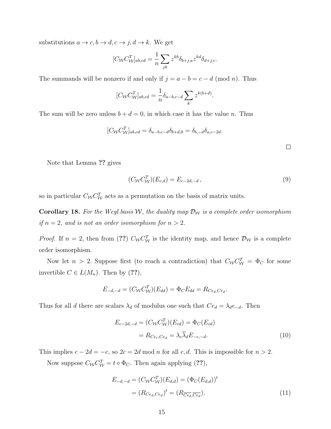substitutions  $a \to c, b \to d, c \to j, d \to k$ . We get

$$
[C_{\mathcal{W}} C_{\mathcal{W}}^T]_{ab,cd} = \frac{1}{n} \sum_{jk} z^{kb} \delta_{b+j,a} z^{kd} \delta_{d+j,c}.
$$

The summands will be nonzero if and only if  $j = a - b = c - d \pmod{n}$ . Thus

$$
[C_{\mathcal{W}} C_{\mathcal{W}}^T]_{ab,cd} = \frac{1}{n} \delta_{a-b,c-d} \sum_k z^{k(b+d)}.
$$

The sum will be zero unless  $b + d = 0$ , in which case it has the value n. Thus

$$
[C_{\mathcal{W}} C_{\mathcal{W}}^T]_{ab,cd} = \delta_{a-b,c-d} \delta_{b+d,0} = \delta_{b,-d} \delta_{a,c-2d}.
$$

Note that Lemma ?? gives

$$
(C_{\mathcal{W}} C_{\mathcal{W}}^T)(E_{c,d}) = E_{c-2d,-d}, \qquad (9)
$$

so in particular  $C_{\mathcal{W}} C_{\mathcal{W}}^T$  acts as a permutation on the basis of matrix units.

**Corollary 18.** For the Weyl basis W, the duality map  $\mathcal{D}_{\mathcal{W}}$  is a complete order isomorphism if  $n = 2$ , and is not an order isomorphism for  $n > 2$ .

*Proof.* If  $n = 2$ , then from (??)  $C_{\mathcal{W}} C_{\mathcal{W}}^T$  is the identity map, and hence  $\mathcal{D}_{\mathcal{W}}$  is a complete order isomorphism.

Now let  $n > 2$ . Suppose first (to reach a contradiction) that  $C_{\mathcal{W}} C_{\mathcal{W}}^T = \Phi_C$  for some invertible  $C \in L(M_n)$ . Then by (??),

$$
E_{-d,-d} = (C_{\mathcal{W}} C_{\mathcal{W}}^T)(E_{dd}) = \Phi_C E_{dd} = R_{Ce_d, Ce_d}.
$$

Thus for all d there are scalars  $\lambda_d$  of modulus one such that  $Ce_d = \lambda_d e_{-d}$ . Then

$$
E_{c-2d,-d} = (C_{\mathcal{W}} C_{\mathcal{W}}^T)(E_{cd}) = \Phi_C(E_{cd})
$$
  
= 
$$
R_{Ce_c, Ce_d} = \lambda_c \overline{\lambda}_d E_{-c,-d}.
$$
 (10)

This implies  $c - 2d = -c$ , so  $2c = 2d \mod n$  for all c, d. This is impossible for  $n > 2$ .

Now suppose  $C_{\mathcal{W}} C_{\mathcal{W}}^T = t \circ \Phi_C$ . Then again applying (??),

$$
E_{-d,-d} = (C_{\mathcal{W}} C_{\mathcal{W}}^T)(E_{d,d}) = (\Phi_C (E_{d,d}))^t
$$
  
=  $(R_{Ce_d, Ce_d})^t = (R_{\overline{Ce_d}, \overline{Ce_d}}).$  (11)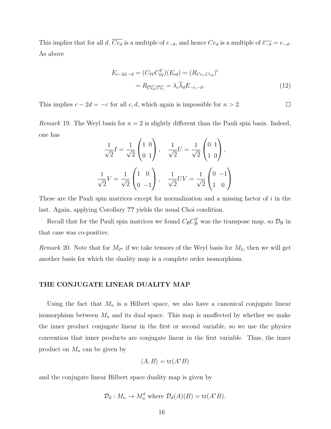This implies that for all d,  $\overline{Ce_d}$  is a multiple of  $e_{-d}$ , and hence  $Ce_d$  is a multiple of  $\overline{e_{-d}} = e_{-d}$ . As above

$$
E_{c-2d,-d} = (C_{\mathcal{W}} C_{\mathcal{W}}^T)(E_{cd}) = (R_{Ce_c, Ce_d})^t
$$
  
= 
$$
R_{\overline{Ce_d}, \overline{Ce_c}} = \lambda_c \overline{\lambda}_d E_{-c,-d}.
$$
 (12)

This implies  $c - 2d = -c$  for all c, d, which again is impossible for  $n > 2$ .  $\Box$ 

*Remark* 19. The Weyl basis for  $n = 2$  is slightly different than the Pauli spin basis. Indeed, one has

$$
\frac{1}{\sqrt{2}}I = \frac{1}{\sqrt{2}} \begin{pmatrix} 1 & 0 \\ 0 & 1 \end{pmatrix}, \quad \frac{1}{\sqrt{2}}U = \frac{1}{\sqrt{2}} \begin{pmatrix} 0 & 1 \\ 1 & 0 \end{pmatrix},
$$

$$
\frac{1}{\sqrt{2}}V = \frac{1}{\sqrt{2}} \begin{pmatrix} 1 & 0 \\ 0 & -1 \end{pmatrix}, \quad \frac{1}{\sqrt{2}}UV = \frac{1}{\sqrt{2}} \begin{pmatrix} 0 & -1 \\ 1 & 0 \end{pmatrix}
$$

These are the Pauli spin matrices except for normalization and a missing factor of i in the last. Again, applying Corollary ?? yields the usual Choi condition.

Recall that for the Pauli spin matrices we found  $C_{\mathcal{B}} C_{\mathcal{B}}^T$  was the transpose map, so  $\mathcal{D}_{\mathcal{B}}$  in that case was co-positive.

Remark 20. Note that for  $M_{2^n}$  if we take tensors of the Weyl basis for  $M_2$ , then we will get another basis for which the duality map is a complete order isomorphism.

## THE CONJUGATE LINEAR DUALITY MAP

Using the fact that  $M_n$  is a Hilbert space, we also have a canonical conjugate linear isomorphism between  $M_n$  and its dual space. This map is unaffected by whether we make the inner product conjugate linear in the first or second variable, so we use the physics convention that inner products are conjugate linear in the first variable. Thus, the inner product on  $M_n$  can be given by

$$
\langle A, B \rangle = \text{tr}(A^*B)
$$

and the conjugate linear Hilbert space duality map is given by

$$
\mathcal{D}_d: M_n \to M_n^d \text{ where } \mathcal{D}_d(A)(B) = \text{tr}(A^*B).
$$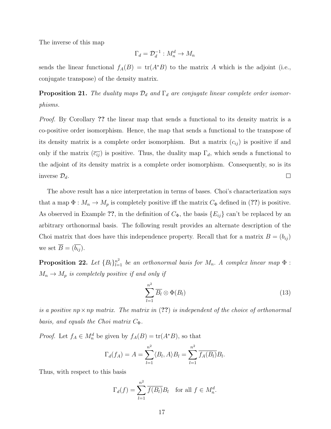The inverse of this map

$$
\Gamma_d = \mathcal{D}_d^{-1} : M_n^d \to M_n
$$

sends the linear functional  $f_A(B) = \text{tr}(A^*B)$  to the matrix A which is the adjoint (i.e., conjugate transpose) of the density matrix.

**Proposition 21.** The duality maps  $\mathcal{D}_d$  and  $\Gamma_d$  are conjugate linear complete order isomorphisms.

Proof. By Corollary ?? the linear map that sends a functional to its density matrix is a co-positive order isomorphism. Hence, the map that sends a functional to the transpose of its density matrix is a complete order isomorphism. But a matrix  $(c_{ij})$  is positive if and only if the matrix  $(\overline{c_{ij}})$  is positive. Thus, the duality map  $\Gamma_d$ , which sends a functional to the adjoint of its density matrix is a complete order isomorphism. Consequently, so is its inverse  $\mathcal{D}_d$ .  $\Box$ 

The above result has a nice interpretation in terms of bases. Choi's characterization says that a map  $\Phi : M_n \to M_p$  is completely positive iff the matrix  $C_{\Phi}$  defined in (??) is positive. As observed in Example ??, in the definition of  $C_{\Phi}$ , the basis  $\{E_{ij}\}\$ can't be replaced by an arbitrary orthonormal basis. The following result provides an alternate description of the Choi matrix that does have this independence property. Recall that for a matrix  $B = (b_{ij})$ we set  $\overline{B} = (\overline{b_{ij}})$ .

**Proposition 22.** Let  ${B_l}_{l=1}^{n^2}$  be an orthonormal basis for  $M_n$ . A complex linear map  $\Phi$ :  $M_n \to M_p$  is completely positive if and only if

$$
\sum_{l=1}^{n^2} \overline{B_l} \otimes \Phi(B_l) \tag{13}
$$

is a positive  $np \times np$  matrix. The matrix in (??) is independent of the choice of orthonormal basis, and equals the Choi matrix  $C_{\Phi}$ .

*Proof.* Let  $f_A \in M_n^d$  be given by  $f_A(B) = \text{tr}(A^*B)$ , so that

$$
\Gamma_d(f_A) = A = \sum_{l=1}^{n^2} \langle B_l, A \rangle B_l = \sum_{l=1}^{n^2} \overline{f_A(B_l)} B_l.
$$

Thus, with respect to this basis

$$
\Gamma_d(f) = \sum_{l=1}^{n^2} \overline{f(B_l)} B_l \quad \text{for all } f \in M_n^d.
$$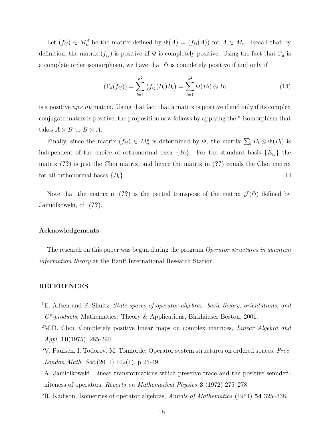Let  $(f_{ij}) \in M_n^d$  be the matrix defined by  $\Phi(A) = (f_{ij}(A))$  for  $A \in M_n$ . Recall that by definition, the matrix  $(f_{ij})$  is positive iff  $\Phi$  is completely positive. Using the fact that  $\Gamma_d$  is a complete order isomorphism, we have that  $\Phi$  is completely positive if and only if

$$
(\Gamma_d(f_{ij})) = \sum_{l=1}^{n^2} (\overline{f_{ij}(B_l)} B_l) = \sum_{l=1}^{n^2} \overline{\Phi(B_l)} \otimes B_l
$$
 (14)

is a positive  $np \times np$  matrix. Using that fact that a matrix is positive if and only if its complex conjugate matrix is positive, the proposition now follows by applying the \*-isomorphism that takes  $A \otimes B$  to  $B \otimes A$ .

Finally, since the matrix  $(f_{ij}) \in M_n^d$  is determined by  $\Phi$ , the matrix  $\sum_l \overline{B_l} \otimes \Phi(B_l)$  is independent of the choice of orthonormal basis  ${B<sub>l</sub>}$ . For the standard basis  ${E<sub>ij</sub>}$  the matrix (??) is just the Choi matrix, and hence the matrix in (??) equals the Choi matrix  $\Box$ for all orthonormal bases  ${B_l}$ .

Note that the matrix in (??) is the partial transpose of the matrix  $\mathcal{J}(\Phi)$  defined by Jamiołkowski, cf.  $(??)$ .

### Acknowledgements

The research on this paper was begun during the program *Operator structures in quantum* information theory at the Banff International Research Station.

# REFERENCES

- <sup>1</sup>E. Alfsen and F. Shultz, *State spaces of operator algebras: basic theory, orientations, and*  $C^*$ -products, Mathematics: Theory & Applications, Birkhäuser Boston, 2001.
- <sup>2</sup>M.D. Choi, Completely positive linear maps on complex matrices, *Linear Algebra and* Appl.  $10(1975)$ , 285-290.
- <sup>3</sup>V. Paulsen, I. Todorov, M. Tomforde, Operator system structures on ordered spaces, Proc. London Math. Soc.(2011) 102(1), p 25-49.
- <sup>4</sup>A. Jamiołkowski, Linear transformations which preserve trace and the positive semidefiniteness of operators, Reports on Mathematical Physics 3 (1972) 275–278.
- <sup>5</sup>R. Kadison, Isometries of operator algebras, Annals of Mathematics (1951) **54** 325–338.